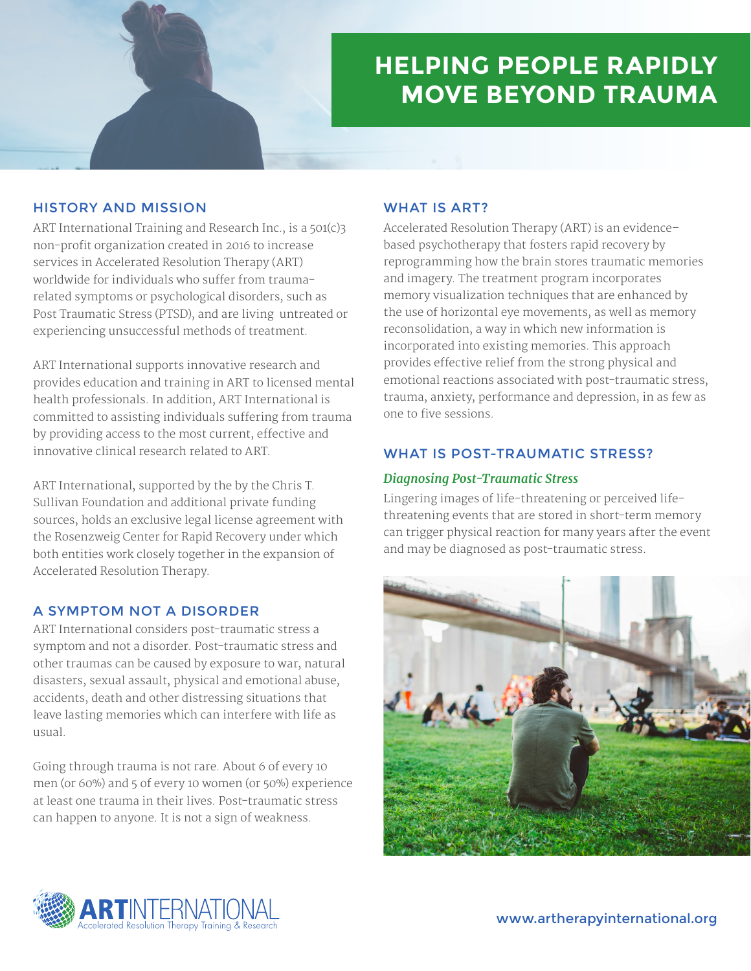

# **HELPING PEOPLE RAPIDLY MOVE BEYOND TRAUMA**

## HISTORY AND MISSION

ART International Training and Research Inc., is a 501(c)3 non-profit organization created in 2016 to increase services in Accelerated Resolution Therapy (ART) worldwide for individuals who suffer from traumarelated symptoms or psychological disorders, such as Post Traumatic Stress (PTSD), and are living untreated or experiencing unsuccessful methods of treatment.

ART International supports innovative research and provides education and training in ART to licensed mental health professionals. In addition, ART International is committed to assisting individuals suffering from trauma by providing access to the most current, effective and innovative clinical research related to ART.

ART International, supported by the by the Chris T. Sullivan Foundation and additional private funding sources, holds an exclusive legal license agreement with the Rosenzweig Center for Rapid Recovery under which both entities work closely together in the expansion of Accelerated Resolution Therapy.

## A SYMPTOM NOT A DISORDER

ART International considers post-traumatic stress a symptom and not a disorder. Post-traumatic stress and other traumas can be caused by exposure to war, natural disasters, sexual assault, physical and emotional abuse, accidents, death and other distressing situations that leave lasting memories which can interfere with life as usual.

Going through trauma is not rare. About 6 of every 10 men (or 60%) and 5 of every 10 women (or 50%) experience at least one trauma in their lives. Post-traumatic stress can happen to anyone. It is not a sign of weakness.

## WHAT IS ART?

Accelerated Resolution Therapy (ART) is an evidence– based psychotherapy that fosters rapid recovery by reprogramming how the brain stores traumatic memories and imagery. The treatment program incorporates memory visualization techniques that are enhanced by the use of horizontal eye movements, as well as memory reconsolidation, a way in which new information is incorporated into existing memories. This approach provides effective relief from the strong physical and emotional reactions associated with post-traumatic stress, trauma, anxiety, performance and depression, in as few as one to five sessions.

# WHAT IS POST-TRAUMATIC STRESS?

#### *Diagnosing Post-Traumatic Stress*

Lingering images of life-threatening or perceived lifethreatening events that are stored in short-term memory can trigger physical reaction for many years after the event and may be diagnosed as post-traumatic stress.